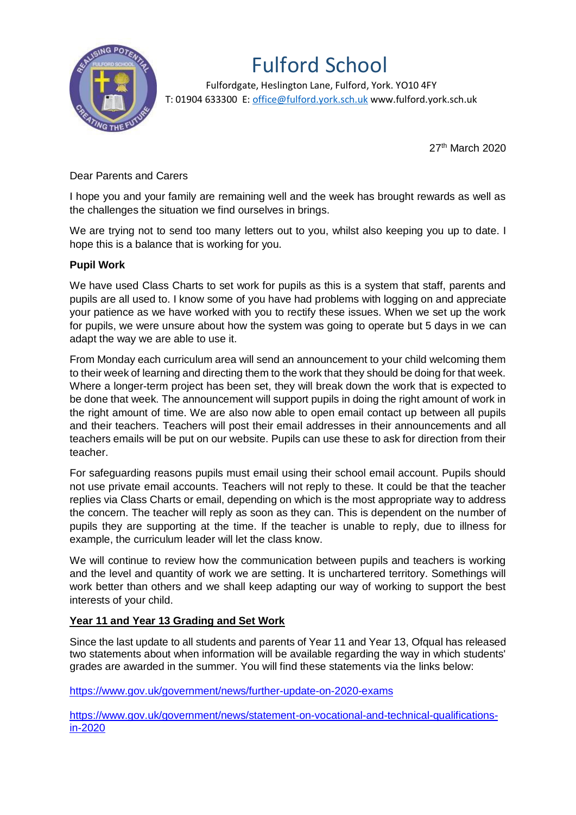

## Fulford School

 Fulfordgate, Heslington Lane, Fulford, York. YO10 4FY T: 01904 633300 E: office@fulford.york.sch.uk www.fulford.york.sch.uk

27<sup>th</sup> March 2020

Dear Parents and Carers

I hope you and your family are remaining well and the week has brought rewards as well as the challenges the situation we find ourselves in brings.

We are trying not to send too many letters out to you, whilst also keeping you up to date. I hope this is a balance that is working for you.

## **Pupil Work**

We have used Class Charts to set work for pupils as this is a system that staff, parents and pupils are all used to. I know some of you have had problems with logging on and appreciate your patience as we have worked with you to rectify these issues. When we set up the work for pupils, we were unsure about how the system was going to operate but 5 days in we can adapt the way we are able to use it.

From Monday each curriculum area will send an announcement to your child welcoming them to their week of learning and directing them to the work that they should be doing for that week. Where a longer-term project has been set, they will break down the work that is expected to be done that week. The announcement will support pupils in doing the right amount of work in the right amount of time. We are also now able to open email contact up between all pupils and their teachers. Teachers will post their email addresses in their announcements and all teachers emails will be put on our website. Pupils can use these to ask for direction from their teacher.

For safeguarding reasons pupils must email using their school email account. Pupils should not use private email accounts. Teachers will not reply to these. It could be that the teacher replies via Class Charts or email, depending on which is the most appropriate way to address the concern. The teacher will reply as soon as they can. This is dependent on the number of pupils they are supporting at the time. If the teacher is unable to reply, due to illness for example, the curriculum leader will let the class know.

We will continue to review how the communication between pupils and teachers is working and the level and quantity of work we are setting. It is unchartered territory. Somethings will work better than others and we shall keep adapting our way of working to support the best interests of your child.

## **Year 11 and Year 13 Grading and Set Work**

Since the last update to all students and parents of Year 11 and Year 13, Ofqual has released two statements about when information will be available regarding the way in which students' grades are awarded in the summer. You will find these statements via the links below:

[https://www.gov.uk/government/news/further-update-on-2020-exams](https://mail.fulford.york.sch.uk/owa/redir.aspx?C=15dgYjQFFACo0FpIZiQGL3ahfIFqL0ndl6veuMUIRuy8Fem3UNLXCA..&URL=https%3a%2f%2fwww.gov.uk%2fgovernment%2fnews%2ffurther-update-on-2020-exams)

[https://www.gov.uk/government/news/statement-on-vocational-and-technical-qualifications](https://mail.fulford.york.sch.uk/owa/redir.aspx?C=fdFf7G8uASMCIQo2CIXNaHewYOHc1M0zVBB8GIq1W368Fem3UNLXCA..&URL=https%3a%2f%2fwww.gov.uk%2fgovernment%2fnews%2fstatement-on-vocational-and-technical-qualifications-in-2020)[in-2020](https://mail.fulford.york.sch.uk/owa/redir.aspx?C=fdFf7G8uASMCIQo2CIXNaHewYOHc1M0zVBB8GIq1W368Fem3UNLXCA..&URL=https%3a%2f%2fwww.gov.uk%2fgovernment%2fnews%2fstatement-on-vocational-and-technical-qualifications-in-2020)